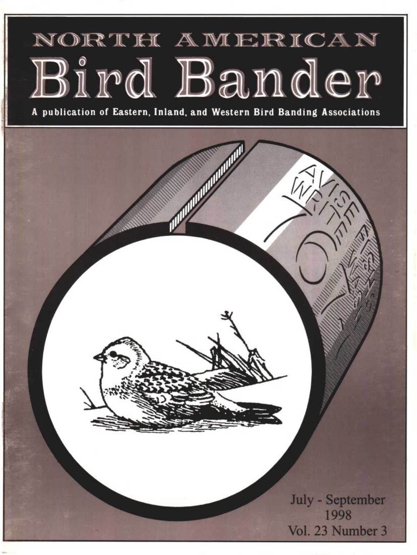# NORTH AMERICAN Bird Bander

**A publication of Eastern, Inland, and Western Bird Banding Associations**